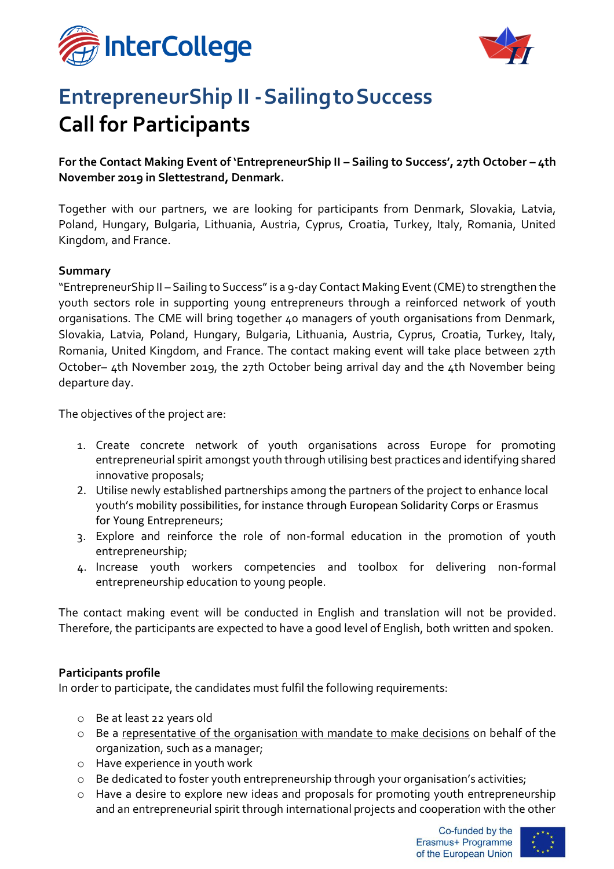



# **EntrepreneurShip II -SailingtoSuccess Call for Participants**

**For the Contact Making Event of 'EntrepreneurShip II – Sailing to Success', 27th October – 4th November 2019 in Slettestrand, Denmark.**

Together with our partners, we are looking for participants from Denmark, Slovakia, Latvia, Poland, Hungary, Bulgaria, Lithuania, Austria, Cyprus, Croatia, Turkey, Italy, Romania, United Kingdom, and France.

#### **Summary**

"EntrepreneurShip II – Sailing to Success" is a 9-day Contact Making Event (CME) to strengthen the youth sectors role in supporting young entrepreneurs through a reinforced network of youth organisations. The CME will bring together 40 managers of youth organisations from Denmark, Slovakia, Latvia, Poland, Hungary, Bulgaria, Lithuania, Austria, Cyprus, Croatia, Turkey, Italy, Romania, United Kingdom, and France. The contact making event will take place between 27th October– 4th November 2019, the 27th October being arrival day and the 4th November being departure day.

The objectives of the project are:

- 1. Create concrete network of youth organisations across Europe for promoting entrepreneurial spirit amongst youth through utilising best practices and identifying shared innovative proposals;
- 2. Utilise newly established partnerships among the partners of the project to enhance local youth's mobility possibilities, for instance through European Solidarity Corps or Erasmus for Young Entrepreneurs;
- 3. Explore and reinforce the role of non-formal education in the promotion of youth entrepreneurship;
- 4. Increase youth workers competencies and toolbox for delivering non-formal entrepreneurship education to young people.

The contact making event will be conducted in English and translation will not be provided. Therefore, the participants are expected to have a good level of English, both written and spoken.

#### **Participants profile**

In order to participate, the candidates must fulfil the following requirements:

- o Be at least 22 years old
- o Be a representative of the organisation with mandate to make decisions on behalf of the organization, such as a manager;
- o Have experience in youth work
- o Be dedicated to foster youth entrepreneurship through your organisation's activities;
- o Have a desire to explore new ideas and proposals for promoting youth entrepreneurship and an entrepreneurial spirit through international projects and cooperation with the other

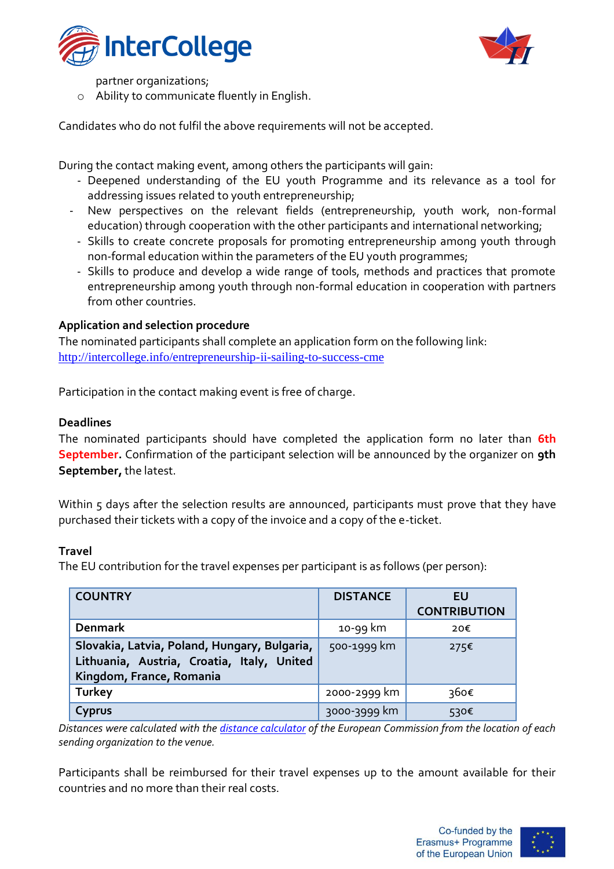



partner organizations;

o Ability to communicate fluently in English.

Candidates who do not fulfil the above requirements will not be accepted.

During the contact making event, among others the participants will gain:

- Deepened understanding of the EU youth Programme and its relevance as a tool for addressing issues related to youth entrepreneurship;
- New perspectives on the relevant fields (entrepreneurship, youth work, non-formal education) through cooperation with the other participants and international networking;
	- Skills to create concrete proposals for promoting entrepreneurship among youth through non-formal education within the parameters of the EU youth programmes;
	- Skills to produce and develop a wide range of tools, methods and practices that promote entrepreneurship among youth through non-formal education in cooperation with partners from other countries.

#### **Application and selection procedure**

The nominated participants shall complete an application form on the following link: <http://intercollege.info/entrepreneurship-ii-sailing-to-success-cme>

Participation in the contact making event is free of charge.

#### **Deadlines**

The nominated participants should have completed the application form no later than **6th September.** Confirmation of the participant selection will be announced by the organizer on **9th September,** the latest.

Within 5 days after the selection results are announced, participants must prove that they have purchased their tickets with a copy of the invoice and a copy of the e-ticket.

#### **Travel**

The EU contribution for the travel expenses per participant is as follows (per person):

| <b>COUNTRY</b>                                                                                                         | <b>DISTANCE</b> | EU<br><b>CONTRIBUTION</b> |
|------------------------------------------------------------------------------------------------------------------------|-----------------|---------------------------|
| <b>Denmark</b>                                                                                                         | 10-99 km        | 20€                       |
| Slovakia, Latvia, Poland, Hungary, Bulgaria,<br>Lithuania, Austria, Croatia, Italy, United<br>Kingdom, France, Romania | 500-1999 km     | 275C                      |
| <b>Turkey</b>                                                                                                          | 2000-2999 km    | 360€                      |
| Cyprus                                                                                                                 | 3000-3999 km    | 530€                      |

*Distances were calculated with the [distance calculator](http://ec.europa.eu/programmes/erasmus-plus/tools/distance_en.htm) of the European Commission from the location of each sending organization to the venue.*

Participants shall be reimbursed for their travel expenses up to the amount available for their countries and no more than their real costs.

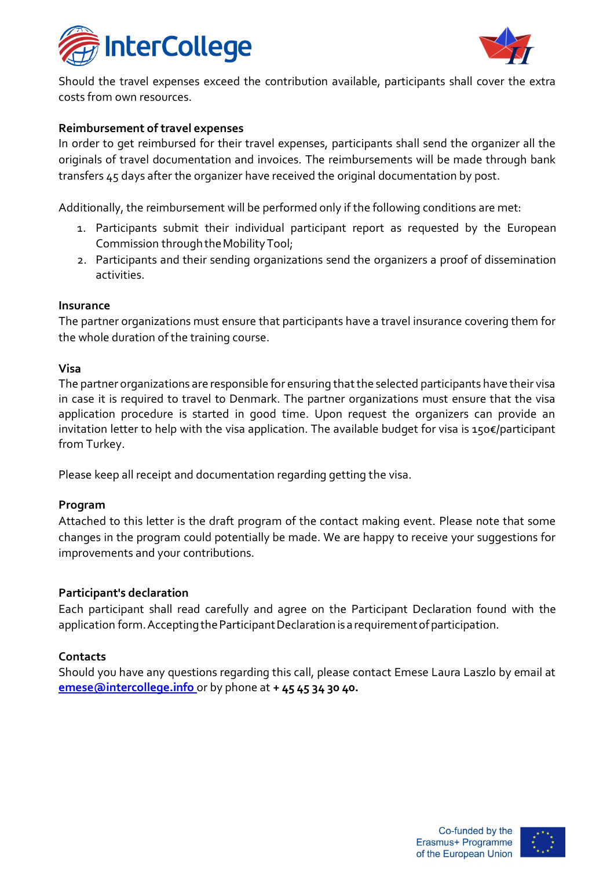



Should the travel expenses exceed the contribution available, participants shall cover the extra costs from own resources.

#### **Reimbursement of travel expenses**

In order to get reimbursed for their travel expenses, participants shall send the organizer all the originals of travel documentation and invoices. The reimbursements will be made through bank transfers 45 days after the organizer have received the original documentation by post.

Additionally, the reimbursement will be performed only if the following conditions are met:

- 1. Participants submit their individual participant report as requested by the European Commission through the Mobility Tool;
- 2. Participants and their sending organizations send the organizers a proof of dissemination activities.

#### **Insurance**

The partner organizations must ensure that participants have a travel insurance covering them for the whole duration of the training course.

#### **Visa**

The partner organizations are responsible for ensuring that the selected participants have their visa in case it is required to travel to Denmark. The partner organizations must ensure that the visa application procedure is started in good time. Upon request the organizers can provide an invitation letter to help with the visa application. The available budget for visa is 150€/participant from Turkey.

Please keep all receipt and documentation regarding getting the visa.

#### **Program**

Attached to this letter is the draft program of the contact making event. Please note that some changes in the program could potentially be made. We are happy to receive your suggestions for improvements and your contributions.

#### **Participant's declaration**

Each participant shall read carefully and agree on the Participant Declaration found with the application form. Accepting the Participant Declaration is a requirement of participation.

#### **Contacts**

Should you have any questions regarding this call, please contact Emese Laura Laszlo by email at **[emese@intercollege.info](mailto:emese@intercollege.info)** or by phone at **+ 45 45 34 30 40.**

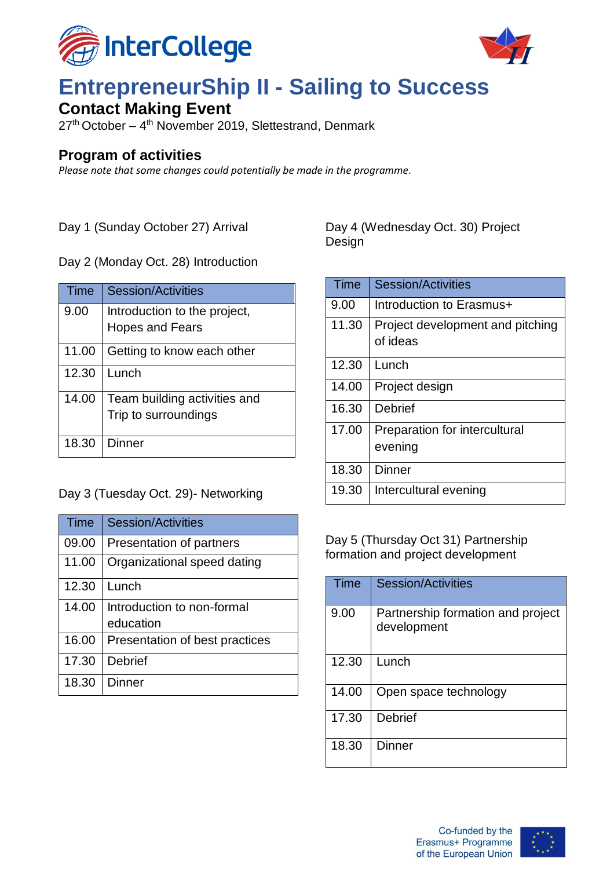



# **EntrepreneurShip II - Sailing to Success**

## **Contact Making Event**

27<sup>th</sup> October – 4<sup>th</sup> November 2019, Slettestrand, Denmark

### **Program of activities**

*Please note that some changes could potentially be made in the programme.* 

Day 1 (Sunday October 27) Arrival

Day 2 (Monday Oct. 28) Introduction

| Time  | Session/Activities                                     |
|-------|--------------------------------------------------------|
| 9.00  | Introduction to the project,<br><b>Hopes and Fears</b> |
| 11.00 | Getting to know each other                             |
| 12.30 | Lunch                                                  |
| 14.00 | Team building activities and<br>Trip to surroundings   |
| 18.30 | Dinner                                                 |

### Day 3 (Tuesday Oct. 29)- Networking

| Time  | <b>Session/Activities</b>               |
|-------|-----------------------------------------|
| 09.00 | Presentation of partners                |
| 11.00 | Organizational speed dating             |
| 12.30 | Lunch                                   |
| 14.00 | Introduction to non-formal<br>education |
| 16.00 | Presentation of best practices          |
| 17.30 | <b>Debrief</b>                          |
| 18.30 | Dinner                                  |

Day 4 (Wednesday Oct. 30) Project Design

| Time  | <b>Session/Activities</b>                    |
|-------|----------------------------------------------|
| 9.00  | Introduction to Erasmus+                     |
| 11.30 | Project development and pitching<br>of ideas |
| 12.30 | Lunch                                        |
| 14.00 | Project design                               |
| 16.30 | Debrief                                      |
| 17.00 | Preparation for intercultural<br>evening     |
| 18.30 | Dinner                                       |
| 19.30 | Intercultural evening                        |

Day 5 (Thursday Oct 31) Partnership formation and project development

| Time  | Session/Activities                               |
|-------|--------------------------------------------------|
| 9.00  | Partnership formation and project<br>development |
| 12.30 | Lunch                                            |
| 14.00 | Open space technology                            |
| 17.30 | <b>Debrief</b>                                   |
| 18.30 | Dinner                                           |